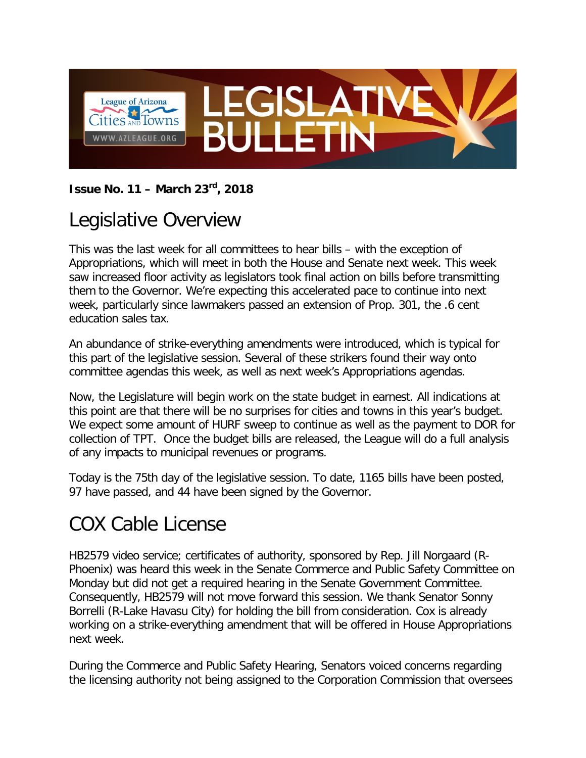

#### **Issue No. 11 – March 23rd, 2018**

### Legislative Overview

This was the last week for all committees to hear bills – with the exception of Appropriations, which will meet in both the House and Senate next week. This week saw increased floor activity as legislators took final action on bills before transmitting them to the Governor. We're expecting this accelerated pace to continue into next week, particularly since lawmakers passed an extension of Prop. 301, the .6 cent education sales tax.

An abundance of strike-everything amendments were introduced, which is typical for this part of the legislative session. Several of these strikers found their way onto committee agendas this week, as well as next week's Appropriations agendas.

Now, the Legislature will begin work on the state budget in earnest. All indications at this point are that there will be no surprises for cities and towns in this year's budget. We expect some amount of HURF sweep to continue as well as the payment to DOR for collection of TPT. Once the budget bills are released, the League will do a full analysis of any impacts to municipal revenues or programs.

Today is the 75th day of the legislative session. To date, 1165 bills have been posted, 97 have passed, and 44 have been signed by the Governor.

## COX Cable License

HB2579 video service; certificates of authority, sponsored by Rep. Jill Norgaard (R-Phoenix) was heard this week in the Senate Commerce and Public Safety Committee on Monday but did not get a required hearing in the Senate Government Committee. Consequently, HB2579 will not move forward this session. We thank Senator Sonny Borrelli (R-Lake Havasu City) for holding the bill from consideration. Cox is already working on a strike-everything amendment that will be offered in House Appropriations next week.

During the Commerce and Public Safety Hearing, Senators voiced concerns regarding the licensing authority not being assigned to the Corporation Commission that oversees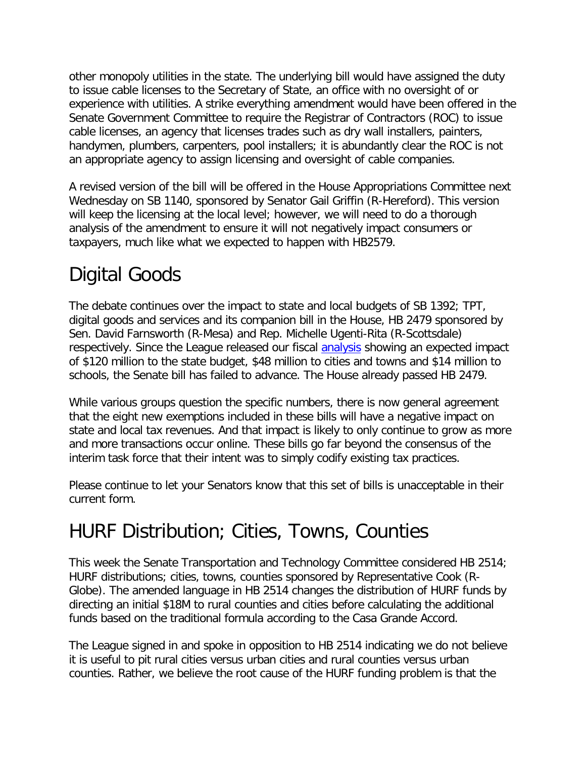other monopoly utilities in the state. The underlying bill would have assigned the duty to issue cable licenses to the Secretary of State, an office with no oversight of or experience with utilities. A strike everything amendment would have been offered in the Senate Government Committee to require the Registrar of Contractors (ROC) to issue cable licenses, an agency that licenses trades such as dry wall installers, painters, handymen, plumbers, carpenters, pool installers; it is abundantly clear the ROC is not an appropriate agency to assign licensing and oversight of cable companies.

A revised version of the bill will be offered in the House Appropriations Committee next Wednesday on SB 1140, sponsored by Senator Gail Griffin (R-Hereford). This version will keep the licensing at the local level; however, we will need to do a thorough analysis of the amendment to ensure it will not negatively impact consumers or taxpayers, much like what we expected to happen with HB2579.

# Digital Goods

The debate continues over the impact to state and local budgets of SB 1392; TPT, digital goods and services and its companion bill in the House, HB 2479 sponsored by Sen. David Farnsworth (R-Mesa) and Rep. Michelle Ugenti-Rita (R-Scottsdale) respectively. Since the League released our fiscal [analysis](http://azleague.org/DocumentCenter/View/9565) showing an expected impact of \$120 million to the state budget, \$48 million to cities and towns and \$14 million to schools, the Senate bill has failed to advance. The House already passed HB 2479.

While various groups question the specific numbers, there is now general agreement that the eight new exemptions included in these bills will have a negative impact on state and local tax revenues. And that impact is likely to only continue to grow as more and more transactions occur online. These bills go far beyond the consensus of the interim task force that their intent was to simply codify existing tax practices.

Please continue to let your Senators know that this set of bills is unacceptable in their current form.

## HURF Distribution; Cities, Towns, Counties

This week the Senate Transportation and Technology Committee considered HB 2514; HURF distributions; cities, towns, counties sponsored by Representative Cook (R-Globe). The amended language in HB 2514 changes the distribution of HURF funds by directing an initial \$18M to rural counties and cities before calculating the additional funds based on the traditional formula according to the Casa Grande Accord.

The League signed in and spoke in opposition to HB 2514 indicating we do not believe it is useful to pit rural cities versus urban cities and rural counties versus urban counties. Rather, we believe the root cause of the HURF funding problem is that the